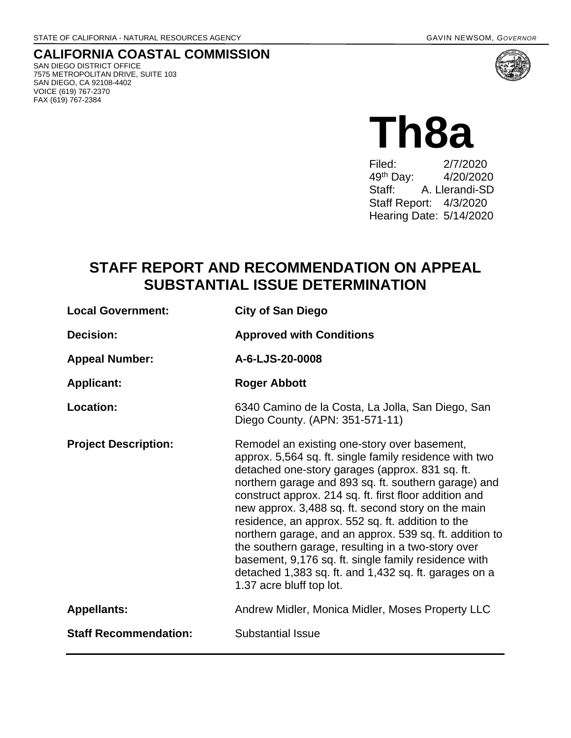# **CALIFORNIA COASTAL COMMISSION**

SAN DIEGO DISTRICT OFFICE 7575 METROPOLITAN DRIVE, SUITE 103 SAN DIEGO, CA 92108-4402 VOICE (619) 767-2370 FAX (619) 767-2384



## **Th8a** Filed: 2/7/2020 49th Day: 4/20/2020 Staff: A. Llerandi-SD Staff Report: 4/3/2020 Hearing Date: 5/14/2020

## **STAFF REPORT AND RECOMMENDATION ON APPEAL SUBSTANTIAL ISSUE DETERMINATION**

| <b>Local Government:</b>     | <b>City of San Diego</b>                                                                                                                                                                                                                                                                                                                                                                                                                                                                                                                                                                                                                             |
|------------------------------|------------------------------------------------------------------------------------------------------------------------------------------------------------------------------------------------------------------------------------------------------------------------------------------------------------------------------------------------------------------------------------------------------------------------------------------------------------------------------------------------------------------------------------------------------------------------------------------------------------------------------------------------------|
| Decision:                    | <b>Approved with Conditions</b>                                                                                                                                                                                                                                                                                                                                                                                                                                                                                                                                                                                                                      |
| <b>Appeal Number:</b>        | A-6-LJS-20-0008                                                                                                                                                                                                                                                                                                                                                                                                                                                                                                                                                                                                                                      |
| <b>Applicant:</b>            | <b>Roger Abbott</b>                                                                                                                                                                                                                                                                                                                                                                                                                                                                                                                                                                                                                                  |
| <b>Location:</b>             | 6340 Camino de la Costa, La Jolla, San Diego, San<br>Diego County. (APN: 351-571-11)                                                                                                                                                                                                                                                                                                                                                                                                                                                                                                                                                                 |
| <b>Project Description:</b>  | Remodel an existing one-story over basement,<br>approx. 5,564 sq. ft. single family residence with two<br>detached one-story garages (approx. 831 sq. ft.<br>northern garage and 893 sq. ft. southern garage) and<br>construct approx. 214 sq. ft. first floor addition and<br>new approx. 3,488 sq. ft. second story on the main<br>residence, an approx. 552 sq. ft. addition to the<br>northern garage, and an approx. 539 sq. ft. addition to<br>the southern garage, resulting in a two-story over<br>basement, 9,176 sq. ft. single family residence with<br>detached 1,383 sq. ft. and 1,432 sq. ft. garages on a<br>1.37 acre bluff top lot. |
| <b>Appellants:</b>           | Andrew Midler, Monica Midler, Moses Property LLC                                                                                                                                                                                                                                                                                                                                                                                                                                                                                                                                                                                                     |
| <b>Staff Recommendation:</b> | <b>Substantial Issue</b>                                                                                                                                                                                                                                                                                                                                                                                                                                                                                                                                                                                                                             |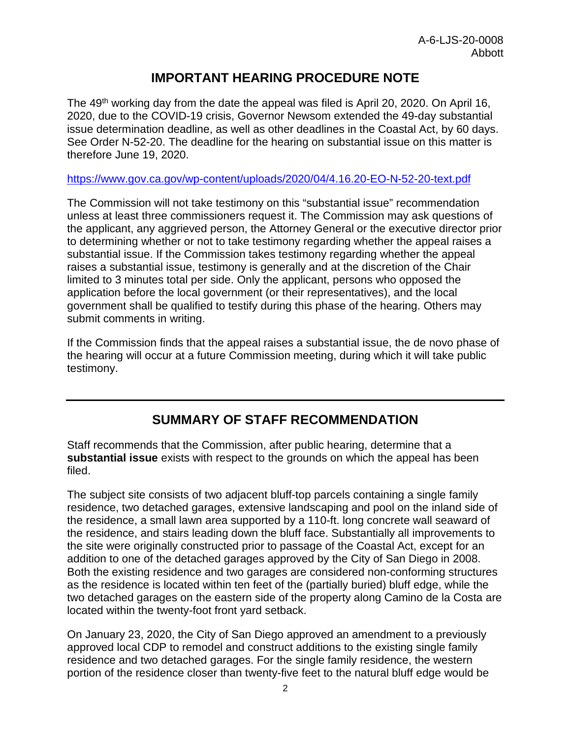## **IMPORTANT HEARING PROCEDURE NOTE**

The 49<sup>th</sup> working day from the date the appeal was filed is April 20, 2020. On April 16, 2020, due to the COVID-19 crisis, Governor Newsom extended the 49-day substantial issue determination deadline, as well as other deadlines in the Coastal Act, by 60 days. See Order N-52-20. The deadline for the hearing on substantial issue on this matter is therefore June 19, 2020.

<https://www.gov.ca.gov/wp-content/uploads/2020/04/4.16.20-EO-N-52-20-text.pdf>

The Commission will not take testimony on this "substantial issue" recommendation unless at least three commissioners request it. The Commission may ask questions of the applicant, any aggrieved person, the Attorney General or the executive director prior to determining whether or not to take testimony regarding whether the appeal raises a substantial issue. If the Commission takes testimony regarding whether the appeal raises a substantial issue, testimony is generally and at the discretion of the Chair limited to 3 minutes total per side. Only the applicant, persons who opposed the application before the local government (or their representatives), and the local government shall be qualified to testify during this phase of the hearing. Others may submit comments in writing.

If the Commission finds that the appeal raises a substantial issue, the de novo phase of the hearing will occur at a future Commission meeting, during which it will take public testimony.

## **SUMMARY OF STAFF RECOMMENDATION**

Staff recommends that the Commission, after public hearing, determine that a **substantial issue** exists with respect to the grounds on which the appeal has been filed.

The subject site consists of two adjacent bluff-top parcels containing a single family residence, two detached garages, extensive landscaping and pool on the inland side of the residence, a small lawn area supported by a 110-ft. long concrete wall seaward of the residence, and stairs leading down the bluff face. Substantially all improvements to the site were originally constructed prior to passage of the Coastal Act, except for an addition to one of the detached garages approved by the City of San Diego in 2008. Both the existing residence and two garages are considered non-conforming structures as the residence is located within ten feet of the (partially buried) bluff edge, while the two detached garages on the eastern side of the property along Camino de la Costa are located within the twenty-foot front yard setback.

On January 23, 2020, the City of San Diego approved an amendment to a previously approved local CDP to remodel and construct additions to the existing single family residence and two detached garages. For the single family residence, the western portion of the residence closer than twenty-five feet to the natural bluff edge would be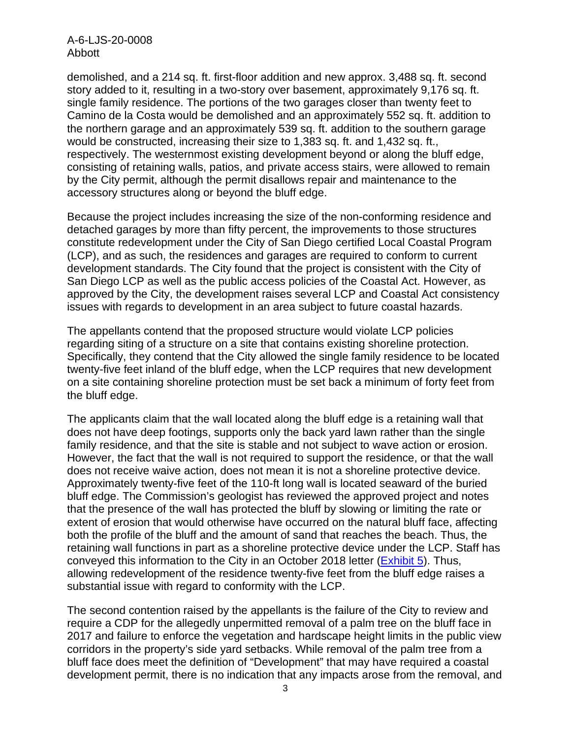A-6-LJS-20-0008 Abbott

demolished, and a 214 sq. ft. first-floor addition and new approx. 3,488 sq. ft. second story added to it, resulting in a two-story over basement, approximately 9,176 sq. ft. single family residence. The portions of the two garages closer than twenty feet to Camino de la Costa would be demolished and an approximately 552 sq. ft. addition to the northern garage and an approximately 539 sq. ft. addition to the southern garage would be constructed, increasing their size to 1,383 sq. ft. and 1,432 sq. ft., respectively. The westernmost existing development beyond or along the bluff edge, consisting of retaining walls, patios, and private access stairs, were allowed to remain by the City permit, although the permit disallows repair and maintenance to the accessory structures along or beyond the bluff edge.

Because the project includes increasing the size of the non-conforming residence and detached garages by more than fifty percent, the improvements to those structures constitute redevelopment under the City of San Diego certified Local Coastal Program (LCP), and as such, the residences and garages are required to conform to current development standards. The City found that the project is consistent with the City of San Diego LCP as well as the public access policies of the Coastal Act. However, as approved by the City, the development raises several LCP and Coastal Act consistency issues with regards to development in an area subject to future coastal hazards.

The appellants contend that the proposed structure would violate LCP policies regarding siting of a structure on a site that contains existing shoreline protection. Specifically, they contend that the City allowed the single family residence to be located twenty-five feet inland of the bluff edge, when the LCP requires that new development on a site containing shoreline protection must be set back a minimum of forty feet from the bluff edge.

The applicants claim that the wall located along the bluff edge is a retaining wall that does not have deep footings, supports only the back yard lawn rather than the single family residence, and that the site is stable and not subject to wave action or erosion. However, the fact that the wall is not required to support the residence, or that the wall does not receive waive action, does not mean it is not a shoreline protective device. Approximately twenty-five feet of the 110-ft long wall is located seaward of the buried bluff edge. The Commission's geologist has reviewed the approved project and notes that the presence of the wall has protected the bluff by slowing or limiting the rate or extent of erosion that would otherwise have occurred on the natural bluff face, affecting both the profile of the bluff and the amount of sand that reaches the beach. Thus, the retaining wall functions in part as a shoreline protective device under the LCP. Staff has conveyed this information to the City in an October 2018 letter [\(Exhibit 5\)](https://documents.coastal.ca.gov/reports/2020/5/Th8a/Th8a-5-2020-exhibits.pdf). Thus, allowing redevelopment of the residence twenty-five feet from the bluff edge raises a substantial issue with regard to conformity with the LCP.

The second contention raised by the appellants is the failure of the City to review and require a CDP for the allegedly unpermitted removal of a palm tree on the bluff face in 2017 and failure to enforce the vegetation and hardscape height limits in the public view corridors in the property's side yard setbacks. While removal of the palm tree from a bluff face does meet the definition of "Development" that may have required a coastal development permit, there is no indication that any impacts arose from the removal, and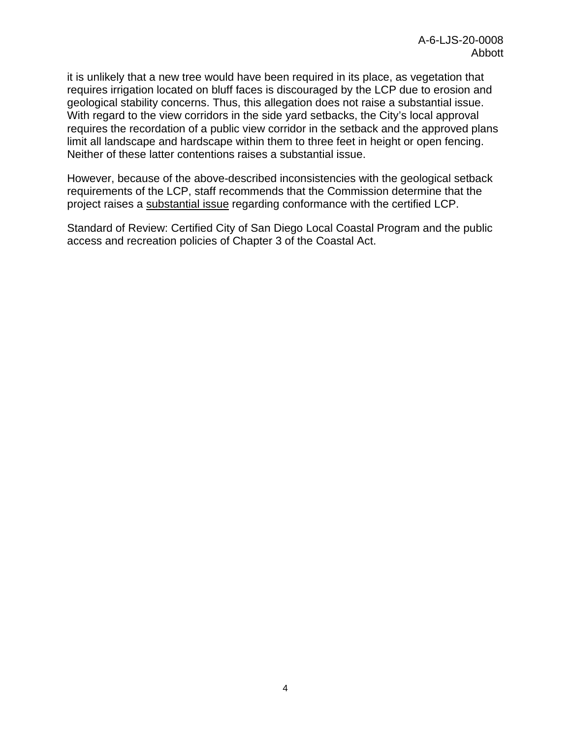it is unlikely that a new tree would have been required in its place, as vegetation that requires irrigation located on bluff faces is discouraged by the LCP due to erosion and geological stability concerns. Thus, this allegation does not raise a substantial issue. With regard to the view corridors in the side yard setbacks, the City's local approval requires the recordation of a public view corridor in the setback and the approved plans limit all landscape and hardscape within them to three feet in height or open fencing. Neither of these latter contentions raises a substantial issue.

However, because of the above-described inconsistencies with the geological setback requirements of the LCP, staff recommends that the Commission determine that the project raises a substantial issue regarding conformance with the certified LCP.

Standard of Review: Certified City of San Diego Local Coastal Program and the public access and recreation policies of Chapter 3 of the Coastal Act.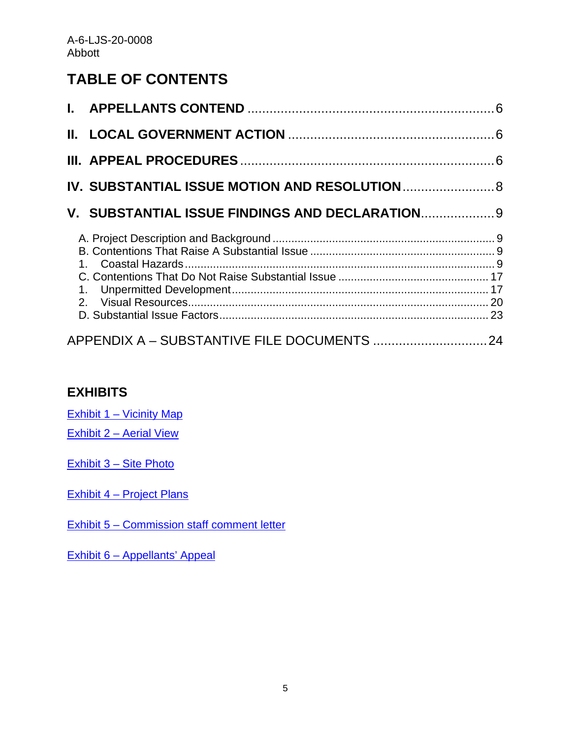## **TABLE OF CONTENTS**

| IV. SUBSTANTIAL ISSUE MOTION AND RESOLUTION 8   |  |
|-------------------------------------------------|--|
| V. SUBSTANTIAL ISSUE FINDINGS AND DECLARATION 9 |  |
|                                                 |  |
|                                                 |  |

## **EXHIBITS**

Exhibit [1 – Vicinity Map](https://documents.coastal.ca.gov/reports/2020/5/Th8a/Th8a-5-2020-exhibits.pdf)

Exhibit [2 – Aerial View](https://documents.coastal.ca.gov/reports/2020/5/Th8a/Th8a-5-2020-exhibits.pdf)

[Exhibit 3 – Site Photo](https://documents.coastal.ca.gov/reports/2020/5/Th8a/Th8a-5-2020-exhibits.pdf)

[Exhibit 4 – Project Plans](https://documents.coastal.ca.gov/reports/2020/5/Th8a/Th8a-5-2020-exhibits.pdf)

[Exhibit 5 – Commission staff comment letter](https://documents.coastal.ca.gov/reports/2020/5/Th8a/Th8a-5-2020-exhibits.pdf)

[Exhibit 6 – Appellants' Appeal](https://documents.coastal.ca.gov/reports/2020/5/Th8a/Th8a-5-2020-exhibits.pdf)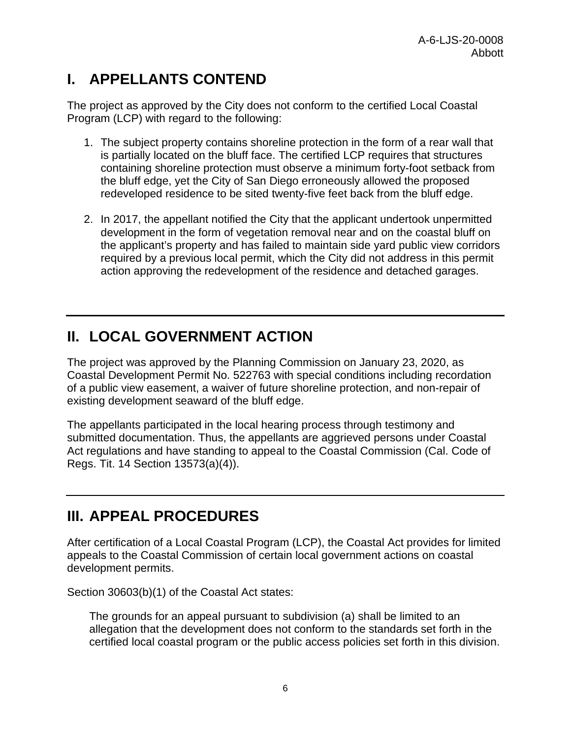# <span id="page-5-0"></span>**I. APPELLANTS CONTEND**

The project as approved by the City does not conform to the certified Local Coastal Program (LCP) with regard to the following:

- 1. The subject property contains shoreline protection in the form of a rear wall that is partially located on the bluff face. The certified LCP requires that structures containing shoreline protection must observe a minimum forty-foot setback from the bluff edge, yet the City of San Diego erroneously allowed the proposed redeveloped residence to be sited twenty-five feet back from the bluff edge.
- 2. In 2017, the appellant notified the City that the applicant undertook unpermitted development in the form of vegetation removal near and on the coastal bluff on the applicant's property and has failed to maintain side yard public view corridors required by a previous local permit, which the City did not address in this permit action approving the redevelopment of the residence and detached garages.

# <span id="page-5-1"></span>**II. LOCAL GOVERNMENT ACTION**

The project was approved by the Planning Commission on January 23, 2020, as Coastal Development Permit No. 522763 with special conditions including recordation of a public view easement, a waiver of future shoreline protection, and non-repair of existing development seaward of the bluff edge.

The appellants participated in the local hearing process through testimony and submitted documentation. Thus, the appellants are aggrieved persons under Coastal Act regulations and have standing to appeal to the Coastal Commission (Cal. Code of Regs. Tit. 14 Section 13573(a)(4)).

## <span id="page-5-2"></span>**III. APPEAL PROCEDURES**

After certification of a Local Coastal Program (LCP), the Coastal Act provides for limited appeals to the Coastal Commission of certain local government actions on coastal development permits.

Section 30603(b)(1) of the Coastal Act states:

The grounds for an appeal pursuant to subdivision (a) shall be limited to an allegation that the development does not conform to the standards set forth in the certified local coastal program or the public access policies set forth in this division.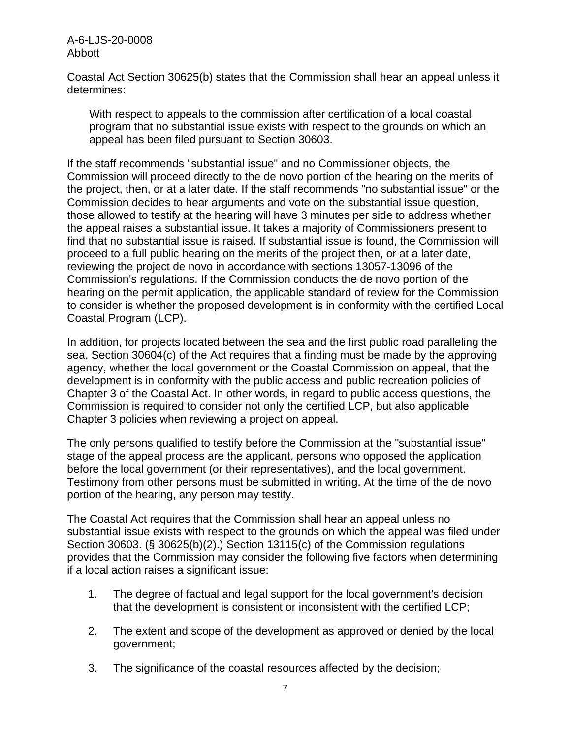A-6-LJS-20-0008 Abbott

Coastal Act Section 30625(b) states that the Commission shall hear an appeal unless it determines:

With respect to appeals to the commission after certification of a local coastal program that no substantial issue exists with respect to the grounds on which an appeal has been filed pursuant to Section 30603.

If the staff recommends "substantial issue" and no Commissioner objects, the Commission will proceed directly to the de novo portion of the hearing on the merits of the project, then, or at a later date. If the staff recommends "no substantial issue" or the Commission decides to hear arguments and vote on the substantial issue question, those allowed to testify at the hearing will have 3 minutes per side to address whether the appeal raises a substantial issue. It takes a majority of Commissioners present to find that no substantial issue is raised. If substantial issue is found, the Commission will proceed to a full public hearing on the merits of the project then, or at a later date, reviewing the project de novo in accordance with sections 13057-13096 of the Commission's regulations. If the Commission conducts the de novo portion of the hearing on the permit application, the applicable standard of review for the Commission to consider is whether the proposed development is in conformity with the certified Local Coastal Program (LCP).

In addition, for projects located between the sea and the first public road paralleling the sea, Section 30604(c) of the Act requires that a finding must be made by the approving agency, whether the local government or the Coastal Commission on appeal, that the development is in conformity with the public access and public recreation policies of Chapter 3 of the Coastal Act. In other words, in regard to public access questions, the Commission is required to consider not only the certified LCP, but also applicable Chapter 3 policies when reviewing a project on appeal.

The only persons qualified to testify before the Commission at the "substantial issue" stage of the appeal process are the applicant, persons who opposed the application before the local government (or their representatives), and the local government. Testimony from other persons must be submitted in writing. At the time of the de novo portion of the hearing, any person may testify.

The Coastal Act requires that the Commission shall hear an appeal unless no substantial issue exists with respect to the grounds on which the appeal was filed under Section 30603. (§ 30625(b)(2).) Section 13115(c) of the Commission regulations provides that the Commission may consider the following five factors when determining if a local action raises a significant issue:

- 1. The degree of factual and legal support for the local government's decision that the development is consistent or inconsistent with the certified LCP;
- 2. The extent and scope of the development as approved or denied by the local government;
- 3. The significance of the coastal resources affected by the decision;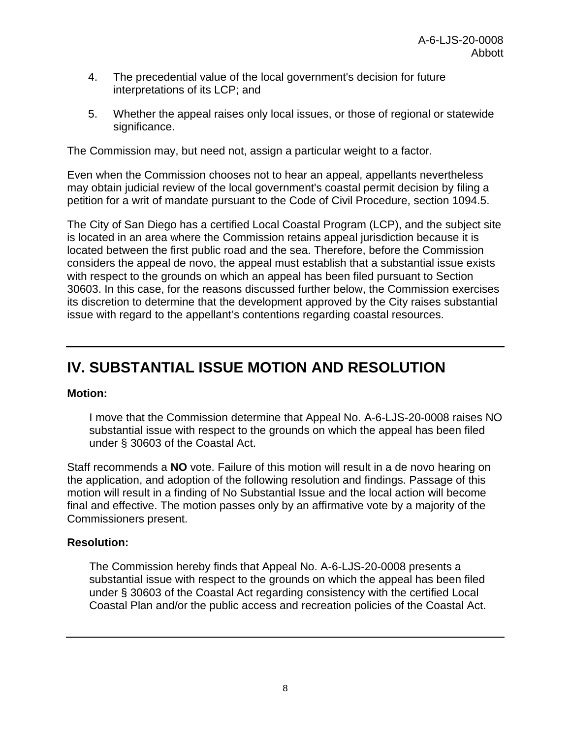- 4. The precedential value of the local government's decision for future interpretations of its LCP; and
- 5. Whether the appeal raises only local issues, or those of regional or statewide significance.

The Commission may, but need not, assign a particular weight to a factor.

Even when the Commission chooses not to hear an appeal, appellants nevertheless may obtain judicial review of the local government's coastal permit decision by filing a petition for a writ of mandate pursuant to the Code of Civil Procedure, section 1094.5.

The City of San Diego has a certified Local Coastal Program (LCP), and the subject site is located in an area where the Commission retains appeal jurisdiction because it is located between the first public road and the sea. Therefore, before the Commission considers the appeal de novo, the appeal must establish that a substantial issue exists with respect to the grounds on which an appeal has been filed pursuant to Section 30603. In this case, for the reasons discussed further below, the Commission exercises its discretion to determine that the development approved by the City raises substantial issue with regard to the appellant's contentions regarding coastal resources.

## <span id="page-7-0"></span>**IV. SUBSTANTIAL ISSUE MOTION AND RESOLUTION**

#### **Motion:**

I move that the Commission determine that Appeal No. A-6-LJS-20-0008 raises NO substantial issue with respect to the grounds on which the appeal has been filed under § 30603 of the Coastal Act.

Staff recommends a **NO** vote. Failure of this motion will result in a de novo hearing on the application, and adoption of the following resolution and findings. Passage of this motion will result in a finding of No Substantial Issue and the local action will become final and effective. The motion passes only by an affirmative vote by a majority of the Commissioners present.

#### **Resolution:**

The Commission hereby finds that Appeal No. A-6-LJS-20-0008 presents a substantial issue with respect to the grounds on which the appeal has been filed under § 30603 of the Coastal Act regarding consistency with the certified Local Coastal Plan and/or the public access and recreation policies of the Coastal Act.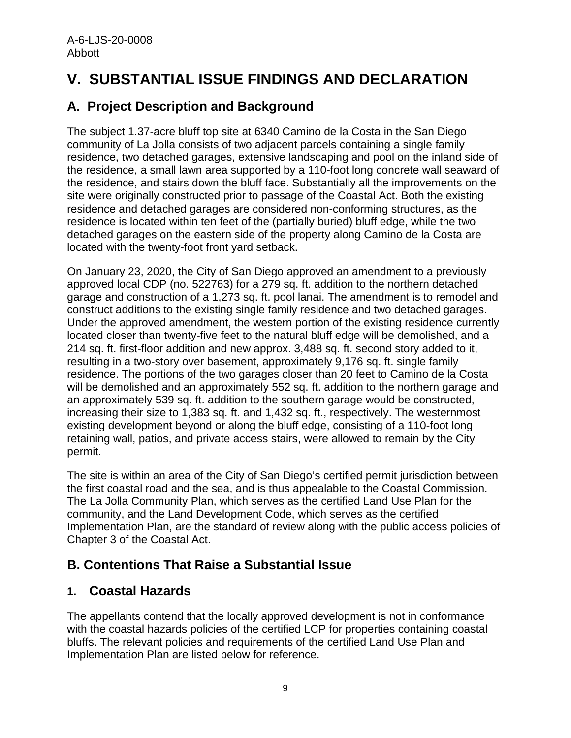# <span id="page-8-0"></span>**V. SUBSTANTIAL ISSUE FINDINGS AND DECLARATION**

## <span id="page-8-1"></span>**A. Project Description and Background**

The subject 1.37-acre bluff top site at 6340 Camino de la Costa in the San Diego community of La Jolla consists of two adjacent parcels containing a single family residence, two detached garages, extensive landscaping and pool on the inland side of the residence, a small lawn area supported by a 110-foot long concrete wall seaward of the residence, and stairs down the bluff face. Substantially all the improvements on the site were originally constructed prior to passage of the Coastal Act. Both the existing residence and detached garages are considered non-conforming structures, as the residence is located within ten feet of the (partially buried) bluff edge, while the two detached garages on the eastern side of the property along Camino de la Costa are located with the twenty-foot front yard setback.

On January 23, 2020, the City of San Diego approved an amendment to a previously approved local CDP (no. 522763) for a 279 sq. ft. addition to the northern detached garage and construction of a 1,273 sq. ft. pool lanai. The amendment is to remodel and construct additions to the existing single family residence and two detached garages. Under the approved amendment, the western portion of the existing residence currently located closer than twenty-five feet to the natural bluff edge will be demolished, and a 214 sq. ft. first-floor addition and new approx. 3,488 sq. ft. second story added to it, resulting in a two-story over basement, approximately 9,176 sq. ft. single family residence. The portions of the two garages closer than 20 feet to Camino de la Costa will be demolished and an approximately 552 sq. ft. addition to the northern garage and an approximately 539 sq. ft. addition to the southern garage would be constructed, increasing their size to 1,383 sq. ft. and 1,432 sq. ft., respectively. The westernmost existing development beyond or along the bluff edge, consisting of a 110-foot long retaining wall, patios, and private access stairs, were allowed to remain by the City permit.

The site is within an area of the City of San Diego's certified permit jurisdiction between the first coastal road and the sea, and is thus appealable to the Coastal Commission. The La Jolla Community Plan, which serves as the certified Land Use Plan for the community, and the Land Development Code, which serves as the certified Implementation Plan, are the standard of review along with the public access policies of Chapter 3 of the Coastal Act.

## <span id="page-8-2"></span>**B. Contentions That Raise a Substantial Issue**

### <span id="page-8-3"></span>**1. Coastal Hazards**

The appellants contend that the locally approved development is not in conformance with the coastal hazards policies of the certified LCP for properties containing coastal bluffs. The relevant policies and requirements of the certified Land Use Plan and Implementation Plan are listed below for reference.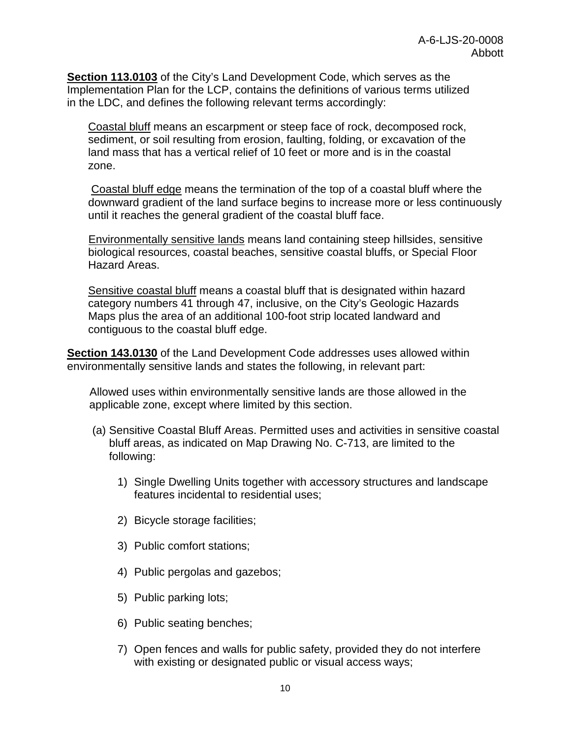**Section 113.0103** of the City's Land Development Code, which serves as the Implementation Plan for the LCP, contains the definitions of various terms utilized in the LDC, and defines the following relevant terms accordingly:

Coastal bluff means an escarpment or steep face of rock, decomposed rock, sediment, or soil resulting from erosion, faulting, folding, or excavation of the land mass that has a vertical relief of 10 feet or more and is in the coastal zone.

Coastal bluff edge means the termination of the top of a coastal bluff where the downward gradient of the land surface begins to increase more or less continuously until it reaches the general gradient of the coastal bluff face.

Environmentally sensitive lands means land containing steep hillsides, sensitive biological resources, coastal beaches, sensitive coastal bluffs, or Special Floor Hazard Areas.

Sensitive coastal bluff means a coastal bluff that is designated within hazard category numbers 41 through 47, inclusive, on the City's Geologic Hazards Maps plus the area of an additional 100-foot strip located landward and contiguous to the coastal bluff edge.

**Section 143.0130** of the Land Development Code addresses uses allowed within environmentally sensitive lands and states the following, in relevant part:

Allowed uses within environmentally sensitive lands are those allowed in the applicable zone, except where limited by this section.

- (a) Sensitive Coastal Bluff Areas. Permitted uses and activities in sensitive coastal bluff areas, as indicated on Map Drawing No. C-713, are limited to the following:
	- 1) Single Dwelling Units together with accessory structures and landscape features incidental to residential uses;
	- 2) Bicycle storage facilities;
	- 3) Public comfort stations;
	- 4) Public pergolas and gazebos;
	- 5) Public parking lots;
	- 6) Public seating benches;
	- 7) Open fences and walls for public safety, provided they do not interfere with existing or designated public or visual access ways;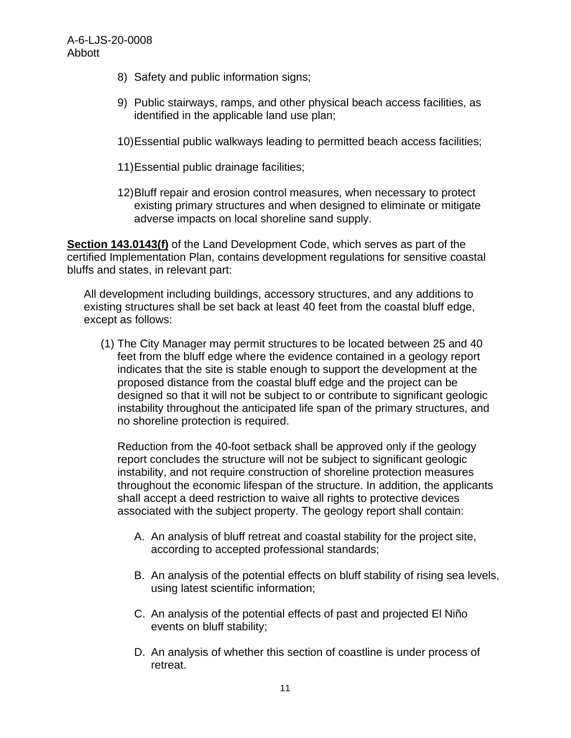- 8) Safety and public information signs;
- 9) Public stairways, ramps, and other physical beach access facilities, as identified in the applicable land use plan;
- 10)Essential public walkways leading to permitted beach access facilities;
- 11)Essential public drainage facilities;
- 12)Bluff repair and erosion control measures, when necessary to protect existing primary structures and when designed to eliminate or mitigate adverse impacts on local shoreline sand supply.

**Section 143.0143(f)** of the Land Development Code, which serves as part of the certified Implementation Plan, contains development regulations for sensitive coastal bluffs and states, in relevant part:

All development including buildings, accessory structures, and any additions to existing structures shall be set back at least 40 feet from the coastal bluff edge, except as follows:

(1) The City Manager may permit structures to be located between 25 and 40 feet from the bluff edge where the evidence contained in a geology report indicates that the site is stable enough to support the development at the proposed distance from the coastal bluff edge and the project can be designed so that it will not be subject to or contribute to significant geologic instability throughout the anticipated life span of the primary structures, and no shoreline protection is required.

Reduction from the 40-foot setback shall be approved only if the geology report concludes the structure will not be subject to significant geologic instability, and not require construction of shoreline protection measures throughout the economic lifespan of the structure. In addition, the applicants shall accept a deed restriction to waive all rights to protective devices associated with the subject property. The geology report shall contain:

- A. An analysis of bluff retreat and coastal stability for the project site, according to accepted professional standards;
- B. An analysis of the potential effects on bluff stability of rising sea levels, using latest scientific information;
- C. An analysis of the potential effects of past and projected El Niño events on bluff stability;
- D. An analysis of whether this section of coastline is under process of retreat.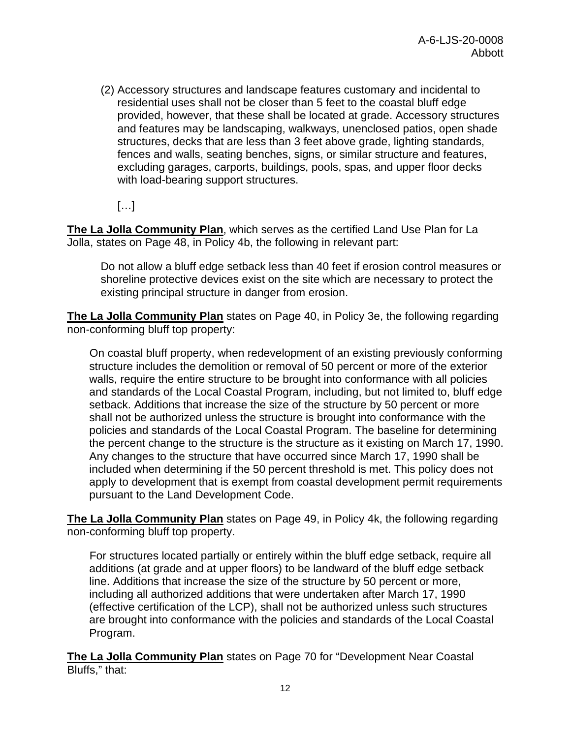(2) Accessory structures and landscape features customary and incidental to residential uses shall not be closer than 5 feet to the coastal bluff edge provided, however, that these shall be located at grade. Accessory structures and features may be landscaping, walkways, unenclosed patios, open shade structures, decks that are less than 3 feet above grade, lighting standards, fences and walls, seating benches, signs, or similar structure and features, excluding garages, carports, buildings, pools, spas, and upper floor decks with load-bearing support structures.

 $\left[\ldots\right]$ 

**The La Jolla Community Plan**, which serves as the certified Land Use Plan for La Jolla, states on Page 48, in Policy 4b, the following in relevant part:

Do not allow a bluff edge setback less than 40 feet if erosion control measures or shoreline protective devices exist on the site which are necessary to protect the existing principal structure in danger from erosion.

**The La Jolla Community Plan** states on Page 40, in Policy 3e, the following regarding non-conforming bluff top property:

On coastal bluff property, when redevelopment of an existing previously conforming structure includes the demolition or removal of 50 percent or more of the exterior walls, require the entire structure to be brought into conformance with all policies and standards of the Local Coastal Program, including, but not limited to, bluff edge setback. Additions that increase the size of the structure by 50 percent or more shall not be authorized unless the structure is brought into conformance with the policies and standards of the Local Coastal Program. The baseline for determining the percent change to the structure is the structure as it existing on March 17, 1990. Any changes to the structure that have occurred since March 17, 1990 shall be included when determining if the 50 percent threshold is met. This policy does not apply to development that is exempt from coastal development permit requirements pursuant to the Land Development Code.

**The La Jolla Community Plan** states on Page 49, in Policy 4k, the following regarding non-conforming bluff top property.

For structures located partially or entirely within the bluff edge setback, require all additions (at grade and at upper floors) to be landward of the bluff edge setback line. Additions that increase the size of the structure by 50 percent or more, including all authorized additions that were undertaken after March 17, 1990 (effective certification of the LCP), shall not be authorized unless such structures are brought into conformance with the policies and standards of the Local Coastal Program.

**The La Jolla Community Plan** states on Page 70 for "Development Near Coastal Bluffs," that: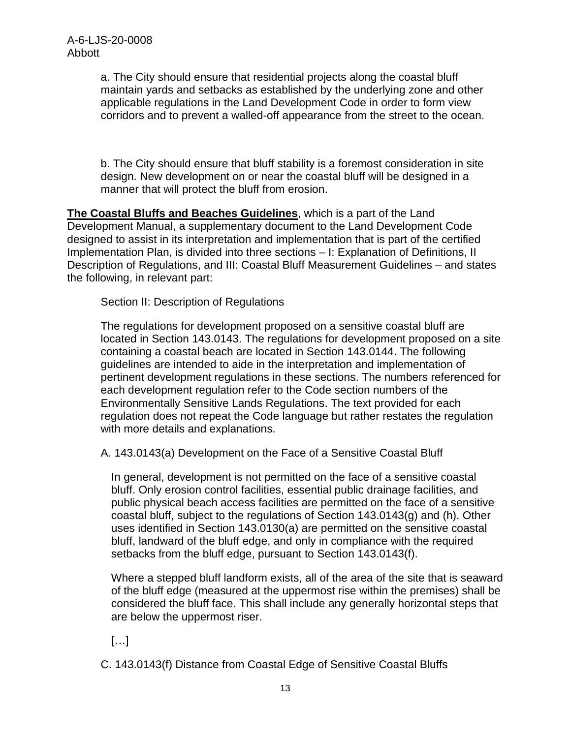a. The City should ensure that residential projects along the coastal bluff maintain yards and setbacks as established by the underlying zone and other applicable regulations in the Land Development Code in order to form view corridors and to prevent a walled-off appearance from the street to the ocean.

b. The City should ensure that bluff stability is a foremost consideration in site design. New development on or near the coastal bluff will be designed in a manner that will protect the bluff from erosion.

**The Coastal Bluffs and Beaches Guidelines**, which is a part of the Land Development Manual, a supplementary document to the Land Development Code designed to assist in its interpretation and implementation that is part of the certified Implementation Plan, is divided into three sections – I: Explanation of Definitions, II Description of Regulations, and III: Coastal Bluff Measurement Guidelines – and states the following, in relevant part:

Section II: Description of Regulations

The regulations for development proposed on a sensitive coastal bluff are located in Section 143.0143. The regulations for development proposed on a site containing a coastal beach are located in Section 143.0144. The following guidelines are intended to aide in the interpretation and implementation of pertinent development regulations in these sections. The numbers referenced for each development regulation refer to the Code section numbers of the Environmentally Sensitive Lands Regulations. The text provided for each regulation does not repeat the Code language but rather restates the regulation with more details and explanations.

A. 143.0143(a) Development on the Face of a Sensitive Coastal Bluff

In general, development is not permitted on the face of a sensitive coastal bluff. Only erosion control facilities, essential public drainage facilities, and public physical beach access facilities are permitted on the face of a sensitive coastal bluff, subject to the regulations of Section 143.0143(g) and (h). Other uses identified in Section 143.0130(a) are permitted on the sensitive coastal bluff, landward of the bluff edge, and only in compliance with the required setbacks from the bluff edge, pursuant to Section 143.0143(f).

Where a stepped bluff landform exists, all of the area of the site that is seaward of the bluff edge (measured at the uppermost rise within the premises) shall be considered the bluff face. This shall include any generally horizontal steps that are below the uppermost riser.

[…]

C. 143.0143(f) Distance from Coastal Edge of Sensitive Coastal Bluffs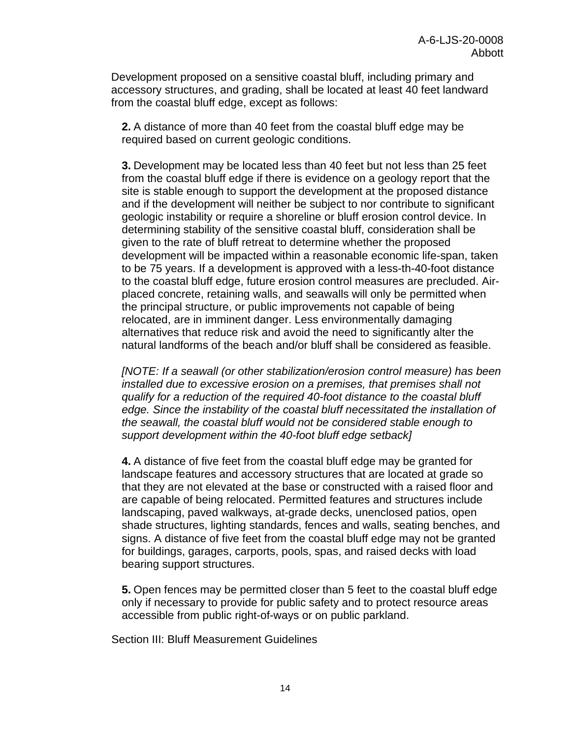Development proposed on a sensitive coastal bluff, including primary and accessory structures, and grading, shall be located at least 40 feet landward from the coastal bluff edge, except as follows:

**2.** A distance of more than 40 feet from the coastal bluff edge may be required based on current geologic conditions.

**3.** Development may be located less than 40 feet but not less than 25 feet from the coastal bluff edge if there is evidence on a geology report that the site is stable enough to support the development at the proposed distance and if the development will neither be subject to nor contribute to significant geologic instability or require a shoreline or bluff erosion control device. In determining stability of the sensitive coastal bluff, consideration shall be given to the rate of bluff retreat to determine whether the proposed development will be impacted within a reasonable economic life-span, taken to be 75 years. If a development is approved with a less-th-40-foot distance to the coastal bluff edge, future erosion control measures are precluded. Airplaced concrete, retaining walls, and seawalls will only be permitted when the principal structure, or public improvements not capable of being relocated, are in imminent danger. Less environmentally damaging alternatives that reduce risk and avoid the need to significantly alter the natural landforms of the beach and/or bluff shall be considered as feasible.

*[NOTE: If a seawall (or other stabilization/erosion control measure) has been installed due to excessive erosion on a premises, that premises shall not qualify for a reduction of the required 40-foot distance to the coastal bluff edge. Since the instability of the coastal bluff necessitated the installation of the seawall, the coastal bluff would not be considered stable enough to support development within the 40-foot bluff edge setback]*

**4.** A distance of five feet from the coastal bluff edge may be granted for landscape features and accessory structures that are located at grade so that they are not elevated at the base or constructed with a raised floor and are capable of being relocated. Permitted features and structures include landscaping, paved walkways, at-grade decks, unenclosed patios, open shade structures, lighting standards, fences and walls, seating benches, and signs. A distance of five feet from the coastal bluff edge may not be granted for buildings, garages, carports, pools, spas, and raised decks with load bearing support structures.

**5.** Open fences may be permitted closer than 5 feet to the coastal bluff edge only if necessary to provide for public safety and to protect resource areas accessible from public right-of-ways or on public parkland.

Section III: Bluff Measurement Guidelines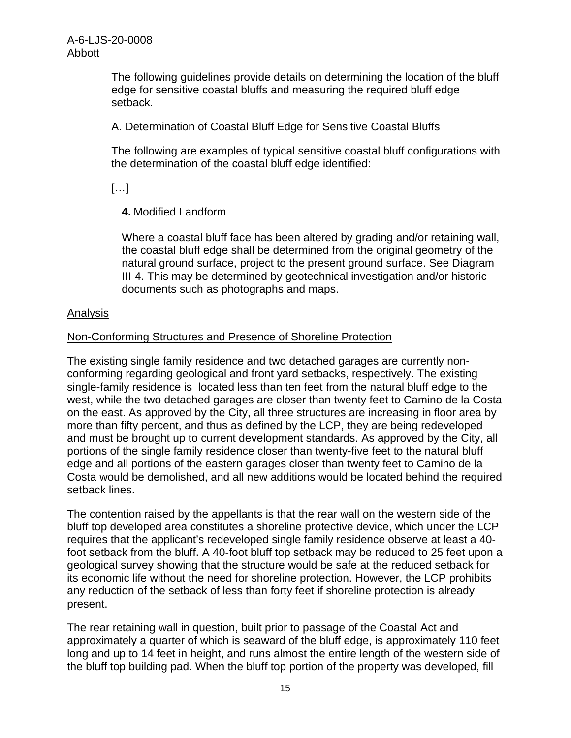The following guidelines provide details on determining the location of the bluff edge for sensitive coastal bluffs and measuring the required bluff edge setback.

A. Determination of Coastal Bluff Edge for Sensitive Coastal Bluffs

The following are examples of typical sensitive coastal bluff configurations with the determination of the coastal bluff edge identified:

[…]

**4.** Modified Landform

Where a coastal bluff face has been altered by grading and/or retaining wall, the coastal bluff edge shall be determined from the original geometry of the natural ground surface, project to the present ground surface. See Diagram III-4. This may be determined by geotechnical investigation and/or historic documents such as photographs and maps.

#### Analysis

#### Non-Conforming Structures and Presence of Shoreline Protection

The existing single family residence and two detached garages are currently nonconforming regarding geological and front yard setbacks, respectively. The existing single-family residence is located less than ten feet from the natural bluff edge to the west, while the two detached garages are closer than twenty feet to Camino de la Costa on the east. As approved by the City, all three structures are increasing in floor area by more than fifty percent, and thus as defined by the LCP, they are being redeveloped and must be brought up to current development standards. As approved by the City, all portions of the single family residence closer than twenty-five feet to the natural bluff edge and all portions of the eastern garages closer than twenty feet to Camino de la Costa would be demolished, and all new additions would be located behind the required setback lines.

The contention raised by the appellants is that the rear wall on the western side of the bluff top developed area constitutes a shoreline protective device, which under the LCP requires that the applicant's redeveloped single family residence observe at least a 40 foot setback from the bluff. A 40-foot bluff top setback may be reduced to 25 feet upon a geological survey showing that the structure would be safe at the reduced setback for its economic life without the need for shoreline protection. However, the LCP prohibits any reduction of the setback of less than forty feet if shoreline protection is already present.

The rear retaining wall in question, built prior to passage of the Coastal Act and approximately a quarter of which is seaward of the bluff edge, is approximately 110 feet long and up to 14 feet in height, and runs almost the entire length of the western side of the bluff top building pad. When the bluff top portion of the property was developed, fill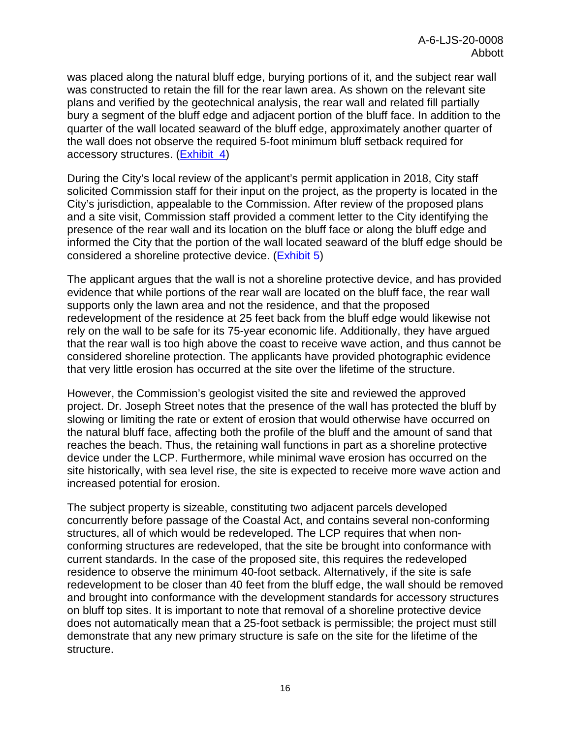was placed along the natural bluff edge, burying portions of it, and the subject rear wall was constructed to retain the fill for the rear lawn area. As shown on the relevant site plans and verified by the geotechnical analysis, the rear wall and related fill partially bury a segment of the bluff edge and adjacent portion of the bluff face. In addition to the quarter of the wall located seaward of the bluff edge, approximately another quarter of the wall does not observe the required 5-foot minimum bluff setback required for accessory structures. [\(Exhibit 4\)](https://documents.coastal.ca.gov/reports/2020/5/Th8a/Th8a-5-2020-exhibits.pdf)

During the City's local review of the applicant's permit application in 2018, City staff solicited Commission staff for their input on the project, as the property is located in the City's jurisdiction, appealable to the Commission. After review of the proposed plans and a site visit, Commission staff provided a comment letter to the City identifying the presence of the rear wall and its location on the bluff face or along the bluff edge and informed the City that the portion of the wall located seaward of the bluff edge should be considered a shoreline protective device. [\(Exhibit 5\)](https://documents.coastal.ca.gov/reports/2020/5/Th8a/Th8a-5-2020-exhibits.pdf)

The applicant argues that the wall is not a shoreline protective device, and has provided evidence that while portions of the rear wall are located on the bluff face, the rear wall supports only the lawn area and not the residence, and that the proposed redevelopment of the residence at 25 feet back from the bluff edge would likewise not rely on the wall to be safe for its 75-year economic life. Additionally, they have argued that the rear wall is too high above the coast to receive wave action, and thus cannot be considered shoreline protection. The applicants have provided photographic evidence that very little erosion has occurred at the site over the lifetime of the structure.

However, the Commission's geologist visited the site and reviewed the approved project. Dr. Joseph Street notes that the presence of the wall has protected the bluff by slowing or limiting the rate or extent of erosion that would otherwise have occurred on the natural bluff face, affecting both the profile of the bluff and the amount of sand that reaches the beach. Thus, the retaining wall functions in part as a shoreline protective device under the LCP. Furthermore, while minimal wave erosion has occurred on the site historically, with sea level rise, the site is expected to receive more wave action and increased potential for erosion.

The subject property is sizeable, constituting two adjacent parcels developed concurrently before passage of the Coastal Act, and contains several non-conforming structures, all of which would be redeveloped. The LCP requires that when nonconforming structures are redeveloped, that the site be brought into conformance with current standards. In the case of the proposed site, this requires the redeveloped residence to observe the minimum 40-foot setback. Alternatively, if the site is safe redevelopment to be closer than 40 feet from the bluff edge, the wall should be removed and brought into conformance with the development standards for accessory structures on bluff top sites. It is important to note that removal of a shoreline protective device does not automatically mean that a 25-foot setback is permissible; the project must still demonstrate that any new primary structure is safe on the site for the lifetime of the structure.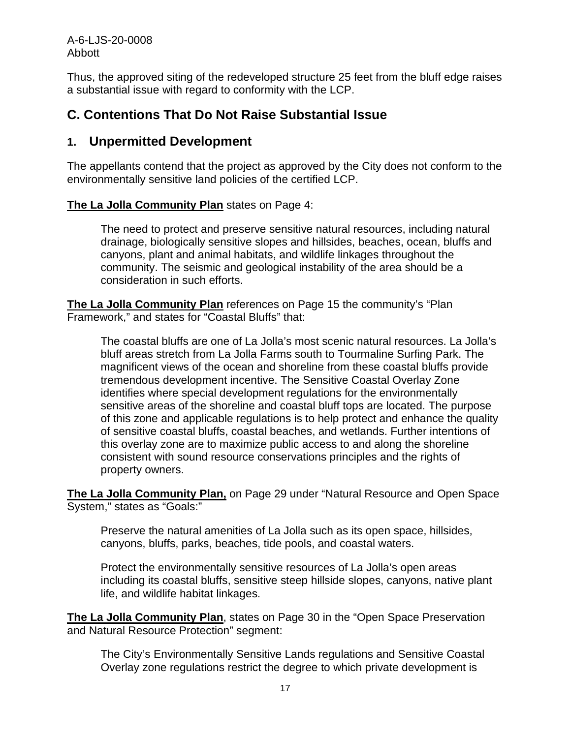A-6-LJS-20-0008 Abbott

Thus, the approved siting of the redeveloped structure 25 feet from the bluff edge raises a substantial issue with regard to conformity with the LCP.

### <span id="page-16-0"></span>**C. Contentions That Do Not Raise Substantial Issue**

### <span id="page-16-1"></span>**1. Unpermitted Development**

The appellants contend that the project as approved by the City does not conform to the environmentally sensitive land policies of the certified LCP.

#### **The La Jolla Community Plan** states on Page 4:

The need to protect and preserve sensitive natural resources, including natural drainage, biologically sensitive slopes and hillsides, beaches, ocean, bluffs and canyons, plant and animal habitats, and wildlife linkages throughout the community. The seismic and geological instability of the area should be a consideration in such efforts.

**The La Jolla Community Plan** references on Page 15 the community's "Plan Framework," and states for "Coastal Bluffs" that:

The coastal bluffs are one of La Jolla's most scenic natural resources. La Jolla's bluff areas stretch from La Jolla Farms south to Tourmaline Surfing Park. The magnificent views of the ocean and shoreline from these coastal bluffs provide tremendous development incentive. The Sensitive Coastal Overlay Zone identifies where special development regulations for the environmentally sensitive areas of the shoreline and coastal bluff tops are located. The purpose of this zone and applicable regulations is to help protect and enhance the quality of sensitive coastal bluffs, coastal beaches, and wetlands. Further intentions of this overlay zone are to maximize public access to and along the shoreline consistent with sound resource conservations principles and the rights of property owners.

**The La Jolla Community Plan,** on Page 29 under "Natural Resource and Open Space System," states as "Goals:"

Preserve the natural amenities of La Jolla such as its open space, hillsides, canyons, bluffs, parks, beaches, tide pools, and coastal waters.

Protect the environmentally sensitive resources of La Jolla's open areas including its coastal bluffs, sensitive steep hillside slopes, canyons, native plant life, and wildlife habitat linkages.

**The La Jolla Community Plan**, states on Page 30 in the "Open Space Preservation and Natural Resource Protection" segment:

The City's Environmentally Sensitive Lands regulations and Sensitive Coastal Overlay zone regulations restrict the degree to which private development is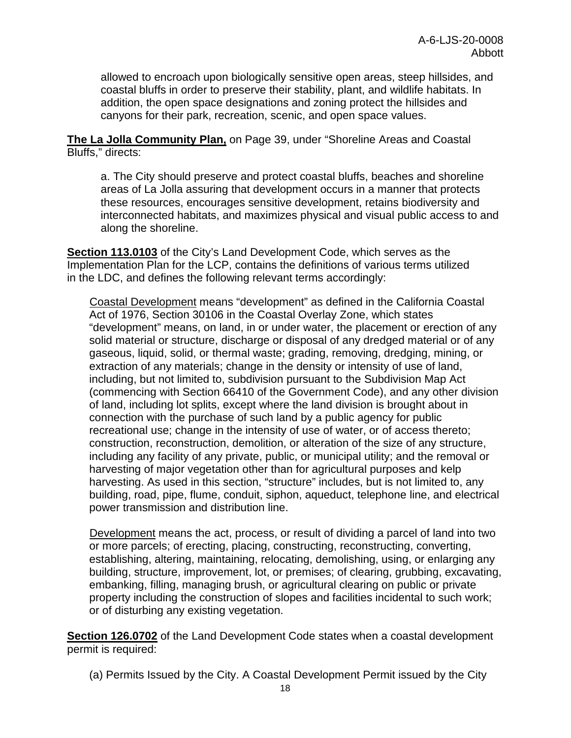allowed to encroach upon biologically sensitive open areas, steep hillsides, and coastal bluffs in order to preserve their stability, plant, and wildlife habitats. In addition, the open space designations and zoning protect the hillsides and canyons for their park, recreation, scenic, and open space values.

**The La Jolla Community Plan,** on Page 39, under "Shoreline Areas and Coastal Bluffs," directs:

a. The City should preserve and protect coastal bluffs, beaches and shoreline areas of La Jolla assuring that development occurs in a manner that protects these resources, encourages sensitive development, retains biodiversity and interconnected habitats, and maximizes physical and visual public access to and along the shoreline.

**Section 113.0103** of the City's Land Development Code, which serves as the Implementation Plan for the LCP, contains the definitions of various terms utilized in the LDC, and defines the following relevant terms accordingly:

Coastal Development means "development" as defined in the California Coastal Act of 1976, Section 30106 in the Coastal Overlay Zone, which states "development" means, on land, in or under water, the placement or erection of any solid material or structure, discharge or disposal of any dredged material or of any gaseous, liquid, solid, or thermal waste; grading, removing, dredging, mining, or extraction of any materials; change in the density or intensity of use of land, including, but not limited to, subdivision pursuant to the Subdivision Map Act (commencing with Section 66410 of the Government Code), and any other division of land, including lot splits, except where the land division is brought about in connection with the purchase of such land by a public agency for public recreational use; change in the intensity of use of water, or of access thereto; construction, reconstruction, demolition, or alteration of the size of any structure, including any facility of any private, public, or municipal utility; and the removal or harvesting of major vegetation other than for agricultural purposes and kelp harvesting. As used in this section, "structure" includes, but is not limited to, any building, road, pipe, flume, conduit, siphon, aqueduct, telephone line, and electrical power transmission and distribution line.

Development means the act, process, or result of dividing a parcel of land into two or more parcels; of erecting, placing, constructing, reconstructing, converting, establishing, altering, maintaining, relocating, demolishing, using, or enlarging any building, structure, improvement, lot, or premises; of clearing, grubbing, excavating, embanking, filling, managing brush, or agricultural clearing on public or private property including the construction of slopes and facilities incidental to such work; or of disturbing any existing vegetation.

**Section 126.0702** of the Land Development Code states when a coastal development permit is required:

(a) Permits Issued by the City. A Coastal Development Permit issued by the City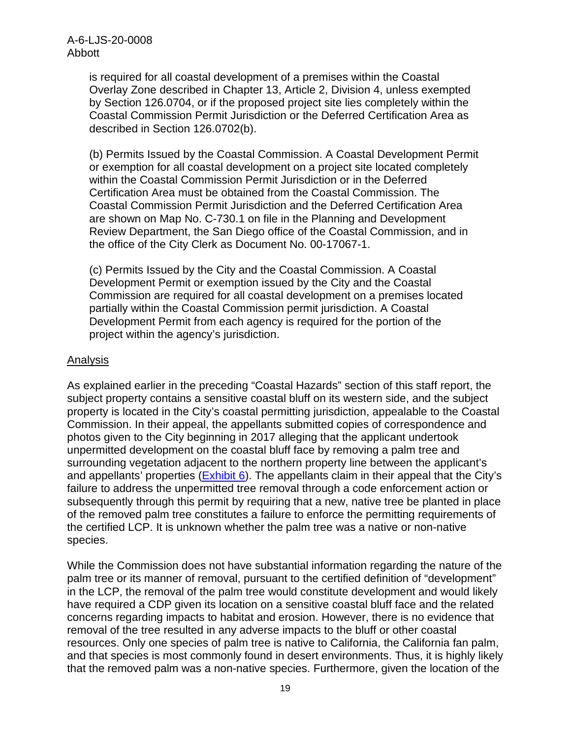is required for all coastal development of a premises within the Coastal Overlay Zone described in Chapter 13, Article 2, Division 4, unless exempted by Section 126.0704, or if the proposed project site lies completely within the Coastal Commission Permit Jurisdiction or the Deferred Certification Area as described in Section 126.0702(b).

(b) Permits Issued by the Coastal Commission. A Coastal Development Permit or exemption for all coastal development on a project site located completely within the Coastal Commission Permit Jurisdiction or in the Deferred Certification Area must be obtained from the Coastal Commission. The Coastal Commission Permit Jurisdiction and the Deferred Certification Area are shown on Map No. C-730.1 on file in the Planning and Development Review Department, the San Diego office of the Coastal Commission, and in the office of the City Clerk as Document No. 00-17067-1.

(c) Permits Issued by the City and the Coastal Commission. A Coastal Development Permit or exemption issued by the City and the Coastal Commission are required for all coastal development on a premises located partially within the Coastal Commission permit jurisdiction. A Coastal Development Permit from each agency is required for the portion of the project within the agency's jurisdiction.

#### Analysis

As explained earlier in the preceding "Coastal Hazards" section of this staff report, the subject property contains a sensitive coastal bluff on its western side, and the subject property is located in the City's coastal permitting jurisdiction, appealable to the Coastal Commission. In their appeal, the appellants submitted copies of correspondence and photos given to the City beginning in 2017 alleging that the applicant undertook unpermitted development on the coastal bluff face by removing a palm tree and surrounding vegetation adjacent to the northern property line between the applicant's and appellants' properties [\(Exhibit 6\)](https://documents.coastal.ca.gov/reports/2020/5/Th8a/Th8a-5-2020-exhibits.pdf). The appellants claim in their appeal that the City's failure to address the unpermitted tree removal through a code enforcement action or subsequently through this permit by requiring that a new, native tree be planted in place of the removed palm tree constitutes a failure to enforce the permitting requirements of the certified LCP. It is unknown whether the palm tree was a native or non-native species.

While the Commission does not have substantial information regarding the nature of the palm tree or its manner of removal, pursuant to the certified definition of "development" in the LCP, the removal of the palm tree would constitute development and would likely have required a CDP given its location on a sensitive coastal bluff face and the related concerns regarding impacts to habitat and erosion. However, there is no evidence that removal of the tree resulted in any adverse impacts to the bluff or other coastal resources. Only one species of palm tree is native to California, the California fan palm, and that species is most commonly found in desert environments. Thus, it is highly likely that the removed palm was a non-native species. Furthermore, given the location of the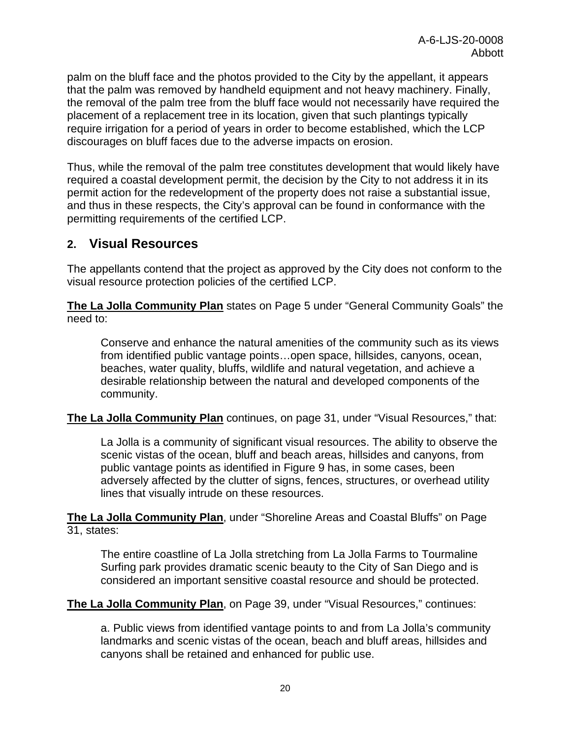palm on the bluff face and the photos provided to the City by the appellant, it appears that the palm was removed by handheld equipment and not heavy machinery. Finally, the removal of the palm tree from the bluff face would not necessarily have required the placement of a replacement tree in its location, given that such plantings typically require irrigation for a period of years in order to become established, which the LCP discourages on bluff faces due to the adverse impacts on erosion.

Thus, while the removal of the palm tree constitutes development that would likely have required a coastal development permit, the decision by the City to not address it in its permit action for the redevelopment of the property does not raise a substantial issue, and thus in these respects, the City's approval can be found in conformance with the permitting requirements of the certified LCP.

### <span id="page-19-0"></span>**2. Visual Resources**

The appellants contend that the project as approved by the City does not conform to the visual resource protection policies of the certified LCP.

**The La Jolla Community Plan** states on Page 5 under "General Community Goals" the need to:

Conserve and enhance the natural amenities of the community such as its views from identified public vantage points…open space, hillsides, canyons, ocean, beaches, water quality, bluffs, wildlife and natural vegetation, and achieve a desirable relationship between the natural and developed components of the community.

**The La Jolla Community Plan** continues, on page 31, under "Visual Resources," that:

La Jolla is a community of significant visual resources. The ability to observe the scenic vistas of the ocean, bluff and beach areas, hillsides and canyons, from public vantage points as identified in Figure 9 has, in some cases, been adversely affected by the clutter of signs, fences, structures, or overhead utility lines that visually intrude on these resources.

**The La Jolla Community Plan**, under "Shoreline Areas and Coastal Bluffs" on Page 31, states:

The entire coastline of La Jolla stretching from La Jolla Farms to Tourmaline Surfing park provides dramatic scenic beauty to the City of San Diego and is considered an important sensitive coastal resource and should be protected.

**The La Jolla Community Plan**, on Page 39, under "Visual Resources," continues:

a. Public views from identified vantage points to and from La Jolla's community landmarks and scenic vistas of the ocean, beach and bluff areas, hillsides and canyons shall be retained and enhanced for public use.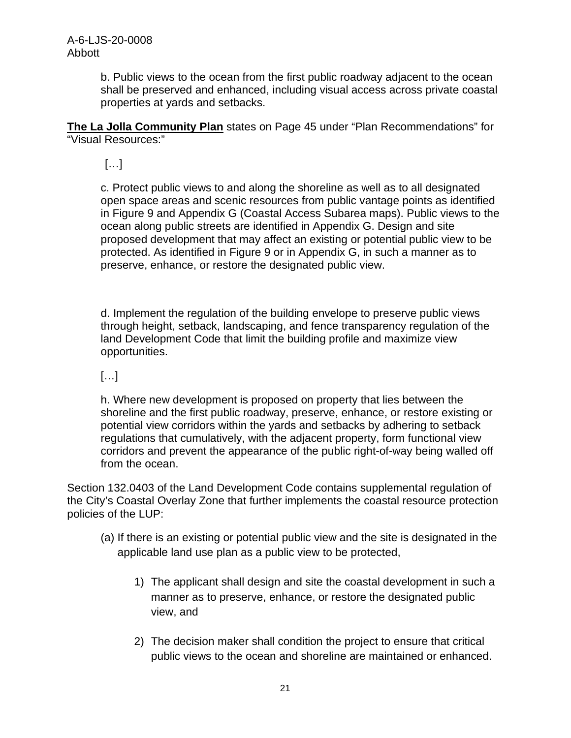b. Public views to the ocean from the first public roadway adjacent to the ocean shall be preserved and enhanced, including visual access across private coastal properties at yards and setbacks.

**The La Jolla Community Plan** states on Page 45 under "Plan Recommendations" for "Visual Resources:"

[…]

c. Protect public views to and along the shoreline as well as to all designated open space areas and scenic resources from public vantage points as identified in Figure 9 and Appendix G (Coastal Access Subarea maps). Public views to the ocean along public streets are identified in Appendix G. Design and site proposed development that may affect an existing or potential public view to be protected. As identified in Figure 9 or in Appendix G, in such a manner as to preserve, enhance, or restore the designated public view.

d. Implement the regulation of the building envelope to preserve public views through height, setback, landscaping, and fence transparency regulation of the land Development Code that limit the building profile and maximize view opportunities.

 $[...]$ 

h. Where new development is proposed on property that lies between the shoreline and the first public roadway, preserve, enhance, or restore existing or potential view corridors within the yards and setbacks by adhering to setback regulations that cumulatively, with the adjacent property, form functional view corridors and prevent the appearance of the public right-of-way being walled off from the ocean.

Section 132.0403 of the Land Development Code contains supplemental regulation of the City's Coastal Overlay Zone that further implements the coastal resource protection policies of the LUP:

- (a) If there is an existing or potential public view and the site is designated in the applicable land use plan as a public view to be protected,
	- 1) The applicant shall design and site the coastal development in such a manner as to preserve, enhance, or restore the designated public view, and
	- 2) The decision maker shall condition the project to ensure that critical public views to the ocean and shoreline are maintained or enhanced.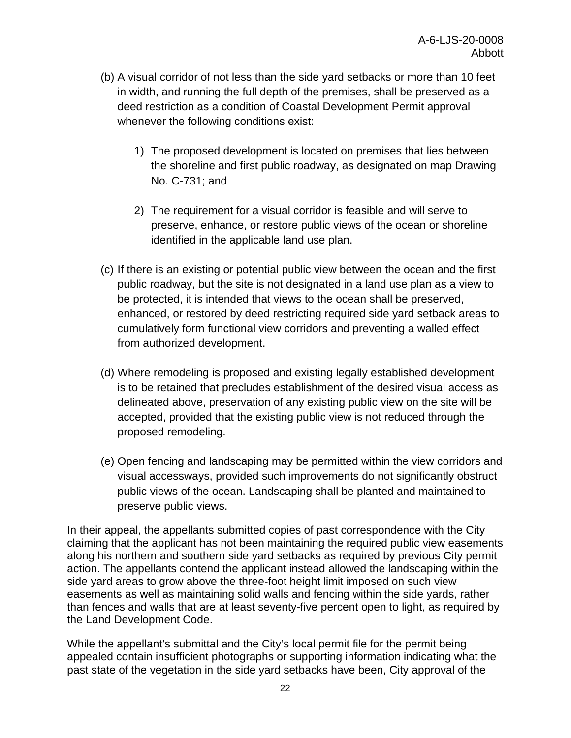- (b) A visual corridor of not less than the side yard setbacks or more than 10 feet in width, and running the full depth of the premises, shall be preserved as a deed restriction as a condition of Coastal Development Permit approval whenever the following conditions exist:
	- 1) The proposed development is located on premises that lies between the shoreline and first public roadway, as designated on map Drawing No. C-731; and
	- 2) The requirement for a visual corridor is feasible and will serve to preserve, enhance, or restore public views of the ocean or shoreline identified in the applicable land use plan.
- (c) If there is an existing or potential public view between the ocean and the first public roadway, but the site is not designated in a land use plan as a view to be protected, it is intended that views to the ocean shall be preserved, enhanced, or restored by deed restricting required side yard setback areas to cumulatively form functional view corridors and preventing a walled effect from authorized development.
- (d) Where remodeling is proposed and existing legally established development is to be retained that precludes establishment of the desired visual access as delineated above, preservation of any existing public view on the site will be accepted, provided that the existing public view is not reduced through the proposed remodeling.
- (e) Open fencing and landscaping may be permitted within the view corridors and visual accessways, provided such improvements do not significantly obstruct public views of the ocean. Landscaping shall be planted and maintained to preserve public views.

In their appeal, the appellants submitted copies of past correspondence with the City claiming that the applicant has not been maintaining the required public view easements along his northern and southern side yard setbacks as required by previous City permit action. The appellants contend the applicant instead allowed the landscaping within the side yard areas to grow above the three-foot height limit imposed on such view easements as well as maintaining solid walls and fencing within the side yards, rather than fences and walls that are at least seventy-five percent open to light, as required by the Land Development Code.

While the appellant's submittal and the City's local permit file for the permit being appealed contain insufficient photographs or supporting information indicating what the past state of the vegetation in the side yard setbacks have been, City approval of the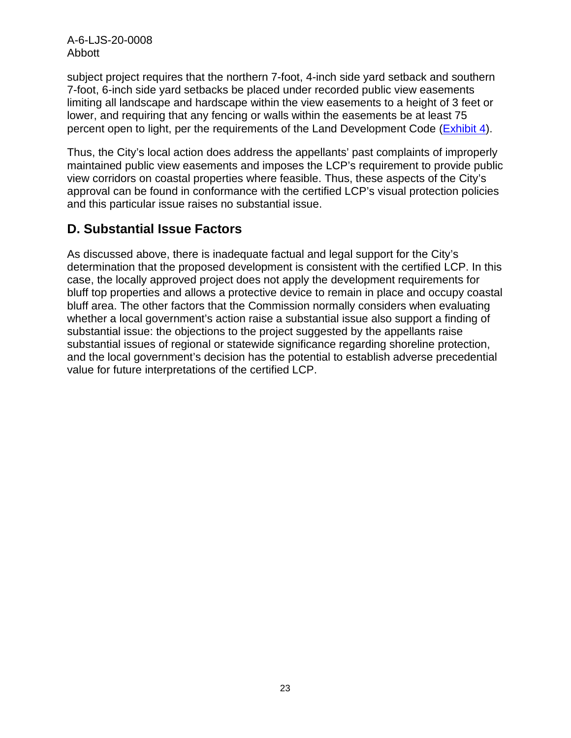A-6-LJS-20-0008 Abbott

subject project requires that the northern 7-foot, 4-inch side yard setback and southern 7-foot, 6-inch side yard setbacks be placed under recorded public view easements limiting all landscape and hardscape within the view easements to a height of 3 feet or lower, and requiring that any fencing or walls within the easements be at least 75 percent open to light, per the requirements of the Land Development Code [\(Exhibit 4\)](https://documents.coastal.ca.gov/reports/2020/5/Th8a/Th8a-5-2020-exhibits.pdf).

Thus, the City's local action does address the appellants' past complaints of improperly maintained public view easements and imposes the LCP's requirement to provide public view corridors on coastal properties where feasible. Thus, these aspects of the City's approval can be found in conformance with the certified LCP's visual protection policies and this particular issue raises no substantial issue.

### <span id="page-22-0"></span>**D. Substantial Issue Factors**

As discussed above, there is inadequate factual and legal support for the City's determination that the proposed development is consistent with the certified LCP. In this case, the locally approved project does not apply the development requirements for bluff top properties and allows a protective device to remain in place and occupy coastal bluff area. The other factors that the Commission normally considers when evaluating whether a local government's action raise a substantial issue also support a finding of substantial issue: the objections to the project suggested by the appellants raise substantial issues of regional or statewide significance regarding shoreline protection, and the local government's decision has the potential to establish adverse precedential value for future interpretations of the certified LCP.